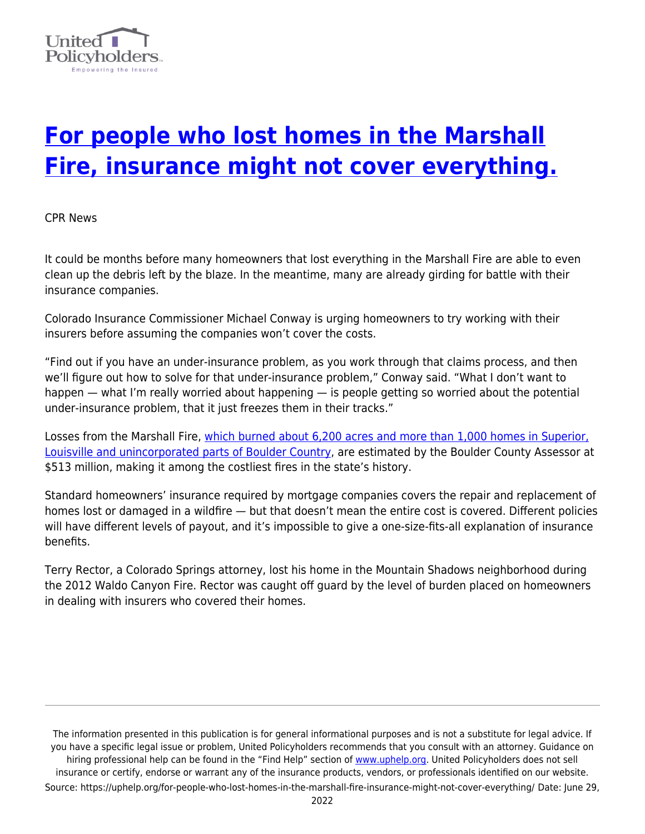

## **[For people who lost homes in the Marshall](https://uphelp.org/for-people-who-lost-homes-in-the-marshall-fire-insurance-might-not-cover-everything/) [Fire, insurance might not cover everything.](https://uphelp.org/for-people-who-lost-homes-in-the-marshall-fire-insurance-might-not-cover-everything/)**

CPR News

It could be months before many homeowners that lost everything in the Marshall Fire are able to even clean up the debris left by the blaze. In the meantime, many are already girding for battle with their insurance companies.

Colorado Insurance Commissioner Michael Conway is urging homeowners to try working with their insurers before assuming the companies won't cover the costs.

"Find out if you have an under-insurance problem, as you work through that claims process, and then we'll figure out how to solve for that under-insurance problem," Conway said. "What I don't want to happen — what I'm really worried about happening — is people getting so worried about the potential under-insurance problem, that it just freezes them in their tracks."

Losses from the Marshall Fire, [which burned about 6,200 acres and more than 1,000 homes in Superior,](https://www.cpr.org/2022/01/05/boulder-county-marshall-fire-timeline/) [Louisville and unincorporated parts of Boulder Country](https://www.cpr.org/2022/01/05/boulder-county-marshall-fire-timeline/), are estimated by the Boulder County Assessor at \$513 million, making it among the costliest fires in the state's history.

Standard homeowners' insurance required by mortgage companies covers the repair and replacement of homes lost or damaged in a wildfire — but that doesn't mean the entire cost is covered. Different policies will have different levels of payout, and it's impossible to give a one-size-fits-all explanation of insurance benefits.

Terry Rector, a Colorado Springs attorney, lost his home in the Mountain Shadows neighborhood during the 2012 Waldo Canyon Fire. Rector was caught off guard by the level of burden placed on homeowners in dealing with insurers who covered their homes.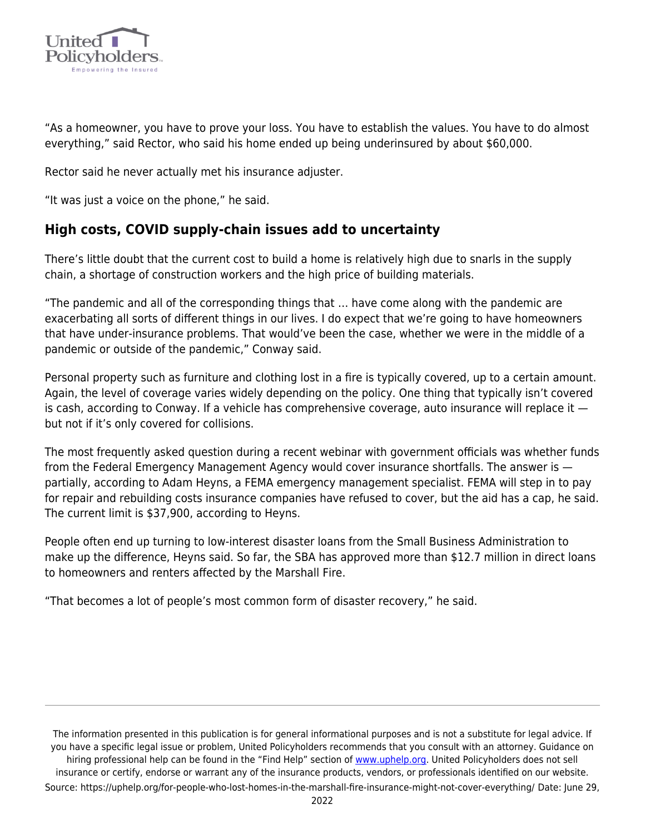

"As a homeowner, you have to prove your loss. You have to establish the values. You have to do almost everything," said Rector, who said his home ended up being underinsured by about \$60,000.

Rector said he never actually met his insurance adjuster.

"It was just a voice on the phone," he said.

## **High costs, COVID supply-chain issues add to uncertainty**

There's little doubt that the current cost to build a home is relatively high due to snarls in the supply chain, a shortage of construction workers and the high price of building materials.

"The pandemic and all of the corresponding things that … have come along with the pandemic are exacerbating all sorts of different things in our lives. I do expect that we're going to have homeowners that have under-insurance problems. That would've been the case, whether we were in the middle of a pandemic or outside of the pandemic," Conway said.

Personal property such as furniture and clothing lost in a fire is typically covered, up to a certain amount. Again, the level of coverage varies widely depending on the policy. One thing that typically isn't covered is cash, according to Conway. If a vehicle has comprehensive coverage, auto insurance will replace it  $$ but not if it's only covered for collisions.

The most frequently asked question during a recent webinar with government officials was whether funds from the Federal Emergency Management Agency would cover insurance shortfalls. The answer is partially, according to Adam Heyns, a FEMA emergency management specialist. FEMA will step in to pay for repair and rebuilding costs insurance companies have refused to cover, but the aid has a cap, he said. The current limit is \$37,900, according to Heyns.

People often end up turning to low-interest disaster loans from the Small Business Administration to make up the difference, Heyns said. So far, the SBA has approved more than \$12.7 million in direct loans to homeowners and renters affected by the Marshall Fire.

"That becomes a lot of people's most common form of disaster recovery," he said.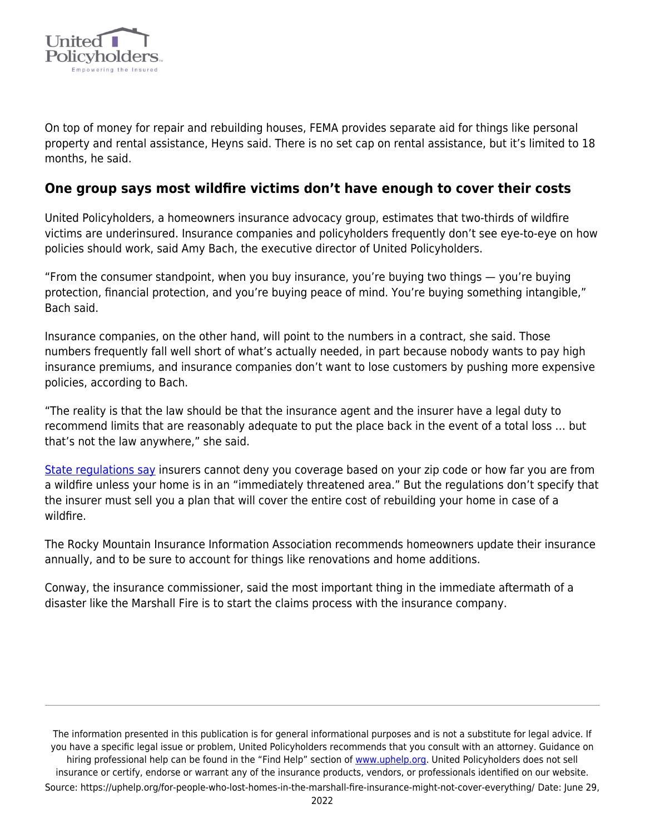

On top of money for repair and rebuilding houses, FEMA provides separate aid for things like personal property and rental assistance, Heyns said. There is no set cap on rental assistance, but it's limited to 18 months, he said.

## **One group says most wildfire victims don't have enough to cover their costs**

United Policyholders, a homeowners insurance advocacy group, estimates that two-thirds of wildfire victims are underinsured. Insurance companies and policyholders frequently don't see eye-to-eye on how policies should work, said Amy Bach, the executive director of United Policyholders.

"From the consumer standpoint, when you buy insurance, you're buying two things — you're buying protection, financial protection, and you're buying peace of mind. You're buying something intangible," Bach said.

Insurance companies, on the other hand, will point to the numbers in a contract, she said. Those numbers frequently fall well short of what's actually needed, in part because nobody wants to pay high insurance premiums, and insurance companies don't want to lose customers by pushing more expensive policies, according to Bach.

"The reality is that the law should be that the insurance agent and the insurer have a legal duty to recommend limits that are reasonably adequate to put the place back in the event of a total loss … but that's not the law anywhere," she said.

[State regulations say](https://wp-cpr.s3.amazonaws.com/uploads/2022/01/5-1-17-AVAILABILITY-OF-FIRE-INSURANCE-DURING-WILDFIRES.pdf) insurers cannot deny you coverage based on your zip code or how far you are from a wildfire unless your home is in an "immediately threatened area." But the regulations don't specify that the insurer must sell you a plan that will cover the entire cost of rebuilding your home in case of a wildfire.

The Rocky Mountain Insurance Information Association recommends homeowners update their insurance annually, and to be sure to account for things like renovations and home additions.

Conway, the insurance commissioner, said the most important thing in the immediate aftermath of a disaster like the Marshall Fire is to start the claims process with the insurance company.